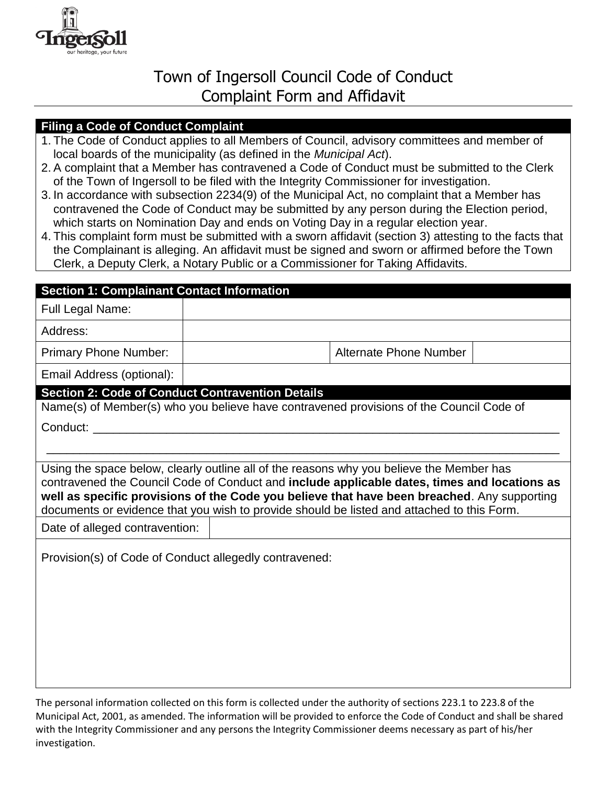

## Town of Ingersoll Council Code of Conduct Complaint Form and Affidavit

## **Filing a Code of Conduct Complaint**

- 1. The Code of Conduct applies to all Members of Council, advisory committees and member of local boards of the municipality (as defined in the *Municipal Act*).
- 2. A complaint that a Member has contravened a Code of Conduct must be submitted to the Clerk of the Town of Ingersoll to be filed with the Integrity Commissioner for investigation.
- 3. In accordance with subsection 2234(9) of the Municipal Act, no complaint that a Member has contravened the Code of Conduct may be submitted by any person during the Election period, which starts on Nomination Day and ends on Voting Day in a regular election year.
- 4. This complaint form must be submitted with a sworn affidavit (section 3) attesting to the facts that the Complainant is alleging. An affidavit must be signed and sworn or affirmed before the Town Clerk, a Deputy Clerk, a Notary Public or a Commissioner for Taking Affidavits.

## **Section 1: Complainant Contact Information**  Full Legal Name: Address: Primary Phone Number:  $\vert$  Alternate Phone Number Email Address (optional): **Section 2: Code of Conduct Contravention Details**  Name(s) of Member(s) who you believe have contravened provisions of the Council Code of Conduct: \_\_\_\_\_\_\_\_\_\_\_\_\_\_\_\_\_\_\_\_\_\_\_\_\_\_\_\_\_\_\_\_\_\_\_\_\_\_\_\_\_\_\_\_\_\_\_\_\_\_\_\_\_\_\_\_\_\_\_\_\_\_\_\_\_\_\_\_\_\_ \_\_\_\_\_\_\_\_\_\_\_\_\_\_\_\_\_\_\_\_\_\_\_\_\_\_\_\_\_\_\_\_\_\_\_\_\_\_\_\_\_\_\_\_\_\_\_\_\_\_\_\_\_\_\_\_\_\_\_\_\_\_\_\_\_\_\_\_\_\_\_\_\_\_\_\_\_ Using the space below, clearly outline all of the reasons why you believe the Member has contravened the Council Code of Conduct and **include applicable dates, times and locations as well as specific provisions of the Code you believe that have been breached**. Any supporting documents or evidence that you wish to provide should be listed and attached to this Form. Date of alleged contravention: Provision(s) of Code of Conduct allegedly contravened:

The personal information collected on this form is collected under the authority of sections 223.1 to 223.8 of the Municipal Act, 2001, as amended. The information will be provided to enforce the Code of Conduct and shall be shared with the Integrity Commissioner and any persons the Integrity Commissioner deems necessary as part of his/her investigation.